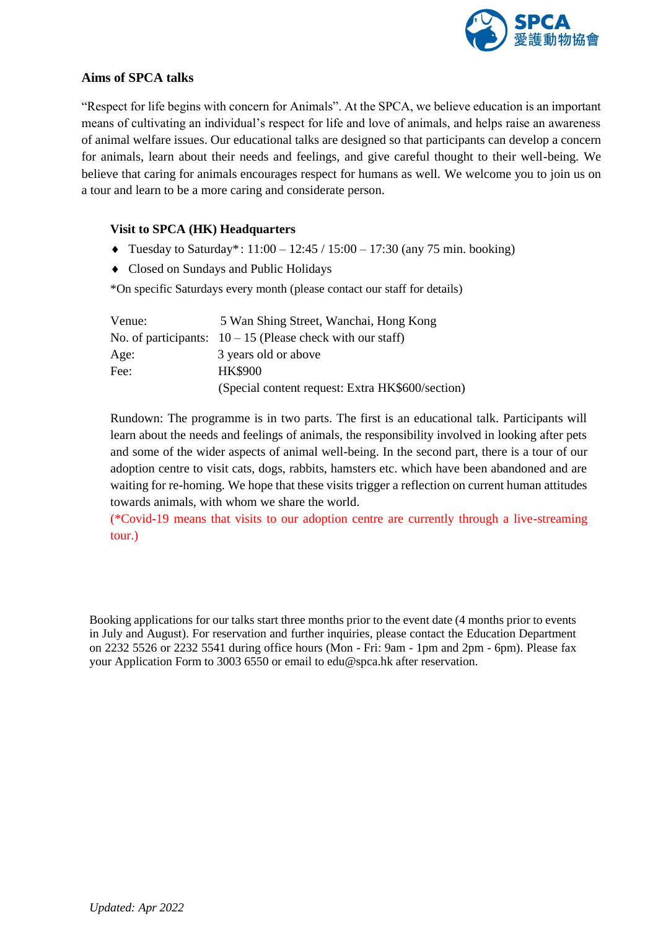

# **Aims of SPCA talks**

"Respect for life begins with concern for Animals". At the SPCA, we believe education is an important means of cultivating an individual's respect for life and love of animals, and helps raise an awareness of animal welfare issues. Our educational talks are designed so that participants can develop a concern for animals, learn about their needs and feelings, and give careful thought to their well-being. We believe that caring for animals encourages respect for humans as well. We welcome you to join us on a tour and learn to be a more caring and considerate person.

## **Visit to SPCA (HK) Headquarters**

- Tuesday to Saturday\*:  $11:00 12:45 / 15:00 17:30$  (any 75 min. booking)
- Closed on Sundays and Public Holidays

\*On specific Saturdays every month (please contact our staff for details)

| Venue: | 5 Wan Shing Street, Wanchai, Hong Kong                     |
|--------|------------------------------------------------------------|
|        | No. of participants: $10-15$ (Please check with our staff) |
| Age:   | 3 years old or above                                       |
| Fee:   | <b>HK\$900</b>                                             |
|        | (Special content request: Extra HK\$600/section)           |

Rundown: The programme is in two parts. The first is an educational talk. Participants will learn about the needs and feelings of animals, the responsibility involved in looking after pets and some of the wider aspects of animal well-being. In the second part, there is a tour of our adoption centre to visit cats, dogs, rabbits, hamsters etc. which have been abandoned and are waiting for re-homing. We hope that these visits trigger a reflection on current human attitudes towards animals, with whom we share the world.

(\*Covid-19 means that visits to our adoption centre are currently through a live-streaming tour.)

Booking applications for our talks start three months prior to the event date (4 months prior to events in July and August). For reservation and further inquiries, please contact the Education Department on 2232 5526 or 2232 5541 during office hours (Mon - Fri: 9am - 1pm and 2pm - 6pm). Please fax your Application Form to 3003 6550 or email to edu@spca.hk after reservation.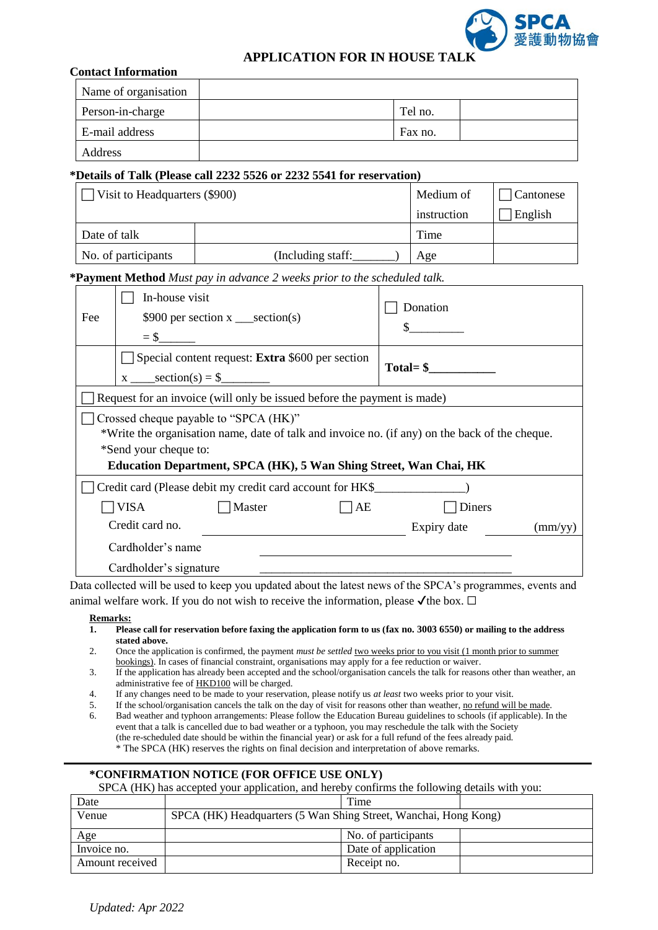

# **APPLICATION FOR IN HOUSE TALK**

#### **Contact Information**

| Name of organisation |         |  |
|----------------------|---------|--|
| Person-in-charge     | Tel no. |  |
| E-mail address       | Fax no. |  |
| Address              |         |  |

#### **\*Details of Talk (Please call 2232 5526 or 2232 5541 for reservation)**

| Visit to Headquarters (\$900) |                   | Medium of   | Cantonese |
|-------------------------------|-------------------|-------------|-----------|
|                               |                   | instruction | English   |
| Date of talk                  |                   | Time        |           |
| No. of participants           | (Including staff: | Age         |           |

#### **\*Payment Method** *Must pay in advance 2 weeks prior to the scheduled talk.*

| Fee                                                                                                                                                                                                                                   | In-house visit<br>\$900 per section $x$ __section(s)                    | Donation<br>\$                  |  |  |  |  |
|---------------------------------------------------------------------------------------------------------------------------------------------------------------------------------------------------------------------------------------|-------------------------------------------------------------------------|---------------------------------|--|--|--|--|
|                                                                                                                                                                                                                                       | Special content request: <b>Extra</b> \$600 per section                 | $Total = $$                     |  |  |  |  |
|                                                                                                                                                                                                                                       | Request for an invoice (will only be issued before the payment is made) |                                 |  |  |  |  |
| Crossed cheque payable to "SPCA (HK)"<br>*Write the organisation name, date of talk and invoice no. (if any) on the back of the cheque.<br>*Send your cheque to:<br>Education Department, SPCA (HK), 5 Wan Shing Street, Wan Chai, HK |                                                                         |                                 |  |  |  |  |
| Credit card (Please debit my credit card account for HK\$                                                                                                                                                                             |                                                                         |                                 |  |  |  |  |
|                                                                                                                                                                                                                                       | <b>VISA</b><br>Master                                                   | AE<br>Diners                    |  |  |  |  |
|                                                                                                                                                                                                                                       | Credit card no.                                                         | Expiry date<br>$\text{(mm/yy)}$ |  |  |  |  |
|                                                                                                                                                                                                                                       | Cardholder's name                                                       |                                 |  |  |  |  |
|                                                                                                                                                                                                                                       | Cardholder's signature                                                  |                                 |  |  |  |  |

Data collected will be used to keep you updated about the latest news of the SPCA's programmes, events and animal welfare work. If you do not wish to receive the information, please  $\checkmark$  the box.  $\Box$ 

#### **Remarks:**

- **1. Please call for reservation before faxing the application form to us (fax no. 3003 6550) or mailing to the address stated above.**
- 2. Once the application is confirmed, the payment *must be settled* two weeks prior to you visit (1 month prior to summer bookings). In cases of financial constraint, organisations may apply for a fee reduction or waiver.
- 3. If the application has already been accepted and the school/organisation cancels the talk for reasons other than weather, an administrative fee of HKD100 will be charged.
- 4. If any changes need to be made to your reservation, please notify us *at least* two weeks prior to your visit.
- 5. If the school/organisation cancels the talk on the day of visit for reasons other than weather, no refund will be made.
- 6. Bad weather and typhoon arrangements: Please follow the Education Bureau guidelines to schools (if applicable). In the event that a talk is cancelled due to bad weather or a typhoon, you may reschedule the talk with the Society (the re-scheduled date should be within the financial year) or ask for a full refund of the fees already paid. \* The SPCA (HK) reserves the rights on final decision and interpretation of above remarks.

### **\*CONFIRMATION NOTICE (FOR OFFICE USE ONLY)**

SPCA (HK) has accepted your application, and hereby confirms the following details with you:

| Date            |                                                                 | Time                |  |
|-----------------|-----------------------------------------------------------------|---------------------|--|
| Venue           | SPCA (HK) Headquarters (5 Wan Shing Street, Wanchai, Hong Kong) |                     |  |
| Age             |                                                                 | No. of participants |  |
| Invoice no.     |                                                                 | Date of application |  |
| Amount received |                                                                 | Receipt no.         |  |